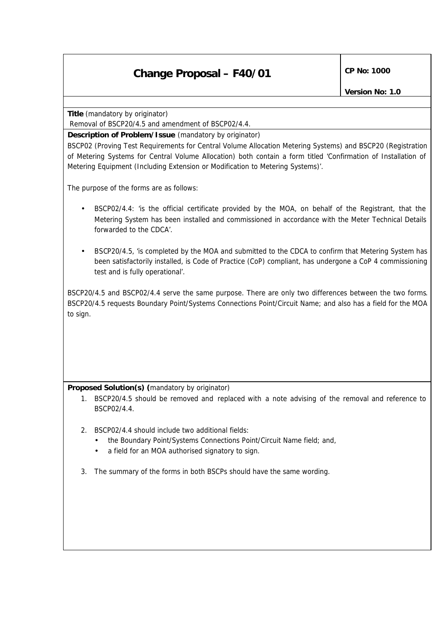## **Change Proposal – F40/01** CP No: 1000

**Title** *(mandatory by originator)*

Removal of BSCP20/4.5 and amendment of BSCP02/4.4.

## **Description of Problem/Issue** *(mandatory by originator)*

BSCP02 (Proving Test Requirements for Central Volume Allocation Metering Systems) and BSCP20 (Registration of Metering Systems for Central Volume Allocation) both contain a form titled 'Confirmation of Installation of Metering Equipment (Including Extension or Modification to Metering Systems)'.

The purpose of the forms are as follows:

- BSCP02/4.4: 'is the official certificate provided by the MOA, on behalf of the Registrant, that the Metering System has been installed and commissioned in accordance with the Meter Technical Details forwarded to the CDCA'.
- BSCP20/4.5, 'is completed by the MOA and submitted to the CDCA to confirm that Metering System has been satisfactorily installed, is Code of Practice (CoP) compliant, has undergone a CoP 4 commissioning test and is fully operational'.

BSCP20/4.5 and BSCP02/4.4 serve the same purpose. There are only two differences between the two forms. BSCP20/4.5 requests Boundary Point/Systems Connections Point/Circuit Name; and also has a field for the MOA to sign.

## **Proposed Solution(s)** *(mandatory by originator)*

- 1. BSCP20/4.5 should be removed and replaced with a note advising of the removal and reference to BSCP02/4.4.
- 2. BSCP02/4.4 should include two additional fields:
	- the Boundary Point/Systems Connections Point/Circuit Name field; and,
	- a field for an MOA authorised signatory to sign.
- 3. The summary of the forms in both BSCPs should have the same wording.